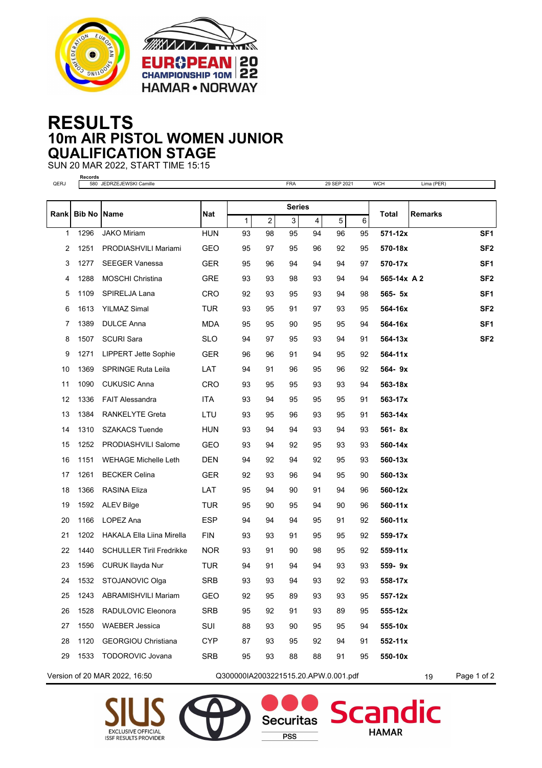



## **RESULTS 10m AIR PISTOL WOMEN JUNIOR QUALIFICATION STAGE**

SUN 20 MAR 2022, START TIME 15:15 **Records**

| QERJ                          |               | 580 JEDRZEJEWSKI Camille         |                                      |               |                | FRA            |                         | 29 SEP 2021 |         | <b>WCH</b>   | Lima (PER)     |                 |
|-------------------------------|---------------|----------------------------------|--------------------------------------|---------------|----------------|----------------|-------------------------|-------------|---------|--------------|----------------|-----------------|
|                               |               | Name                             | Nat                                  | <b>Series</b> |                |                |                         |             |         |              |                |                 |
| Rankl                         | <b>Bib No</b> |                                  |                                      | 1             | $\overline{c}$ | $\overline{3}$ | $\overline{\mathbf{4}}$ | 5           | $\,6\,$ | <b>Total</b> | <b>Remarks</b> |                 |
| 1                             | 1296          | <b>JAKO Miriam</b>               | <b>HUN</b>                           | 93            | 98             | 95             | 94                      | 96          | 95      | 571-12x      |                | SF <sub>1</sub> |
| 2                             | 1251          | PRODIASHVILI Mariami             | <b>GEO</b>                           | 95            | 97             | 95             | 96                      | 92          | 95      | 570-18x      |                | SF <sub>2</sub> |
| 3                             | 1277          | <b>SEEGER Vanessa</b>            | <b>GER</b>                           | 95            | 96             | 94             | 94                      | 94          | 97      | 570-17x      |                | SF <sub>1</sub> |
| 4                             | 1288          | <b>MOSCHI Christina</b>          | <b>GRE</b>                           | 93            | 93             | 98             | 93                      | 94          | 94      | 565-14x A 2  |                | SF <sub>2</sub> |
| 5                             | 1109          | SPIRELJA Lana                    | <b>CRO</b>                           | 92            | 93             | 95             | 93                      | 94          | 98      | 565- 5x      |                | SF <sub>1</sub> |
| 6                             | 1613          | <b>YILMAZ Simal</b>              | <b>TUR</b>                           | 93            | 95             | 91             | 97                      | 93          | 95      | 564-16x      |                | SF <sub>2</sub> |
| 7                             | 1389          | <b>DULCE Anna</b>                | <b>MDA</b>                           | 95            | 95             | 90             | 95                      | 95          | 94      | 564-16x      |                | SF <sub>1</sub> |
| 8                             | 1507          | <b>SCURI Sara</b>                | <b>SLO</b>                           | 94            | 97             | 95             | 93                      | 94          | 91      | 564-13x      |                | SF <sub>2</sub> |
| 9                             | 1271          | <b>LIPPERT Jette Sophie</b>      | <b>GER</b>                           | 96            | 96             | 91             | 94                      | 95          | 92      | 564-11x      |                |                 |
| 10                            | 1369          | <b>SPRINGE Ruta Leila</b>        | LAT                                  | 94            | 91             | 96             | 95                      | 96          | 92      | 564-9x       |                |                 |
| 11                            | 1090          | <b>CUKUSIC Anna</b>              | <b>CRO</b>                           | 93            | 95             | 95             | 93                      | 93          | 94      | 563-18x      |                |                 |
| 12                            | 1336          | <b>FAIT Alessandra</b>           | ITA                                  | 93            | 94             | 95             | 95                      | 95          | 91      | 563-17x      |                |                 |
| 13                            | 1384          | <b>RANKELYTE Greta</b>           | LTU                                  | 93            | 95             | 96             | 93                      | 95          | 91      | 563-14x      |                |                 |
| 14                            | 1310          | <b>SZAKACS Tuende</b>            | <b>HUN</b>                           | 93            | 94             | 94             | 93                      | 94          | 93      | 561-8x       |                |                 |
| 15                            | 1252          | PRODIASHVILI Salome              | GEO                                  | 93            | 94             | 92             | 95                      | 93          | 93      | 560-14x      |                |                 |
| 16                            | 1151          | <b>WEHAGE Michelle Leth</b>      | <b>DEN</b>                           | 94            | 92             | 94             | 92                      | 95          | 93      | 560-13x      |                |                 |
| 17                            | 1261          | <b>BECKER Celina</b>             | <b>GER</b>                           | 92            | 93             | 96             | 94                      | 95          | 90      | 560-13x      |                |                 |
| 18                            | 1366          | <b>RASINA Eliza</b>              | LAT                                  | 95            | 94             | 90             | 91                      | 94          | 96      | 560-12x      |                |                 |
| 19                            | 1592          | <b>ALEV Bilge</b>                | <b>TUR</b>                           | 95            | 90             | 95             | 94                      | 90          | 96      | 560-11x      |                |                 |
| 20                            | 1166          | LOPEZ Ana                        | <b>ESP</b>                           | 94            | 94             | 94             | 95                      | 91          | 92      | 560-11x      |                |                 |
| 21                            | 1202          | <b>HAKALA Ella Liina Mirella</b> | <b>FIN</b>                           | 93            | 93             | 91             | 95                      | 95          | 92      | 559-17x      |                |                 |
| 22                            | 1440          | <b>SCHULLER Tiril Fredrikke</b>  | <b>NOR</b>                           | 93            | 91             | 90             | 98                      | 95          | 92      | 559-11x      |                |                 |
| 23                            | 1596          | CURUK Ilayda Nur                 | <b>TUR</b>                           | 94            | 91             | 94             | 94                      | 93          | 93      | 559-9x       |                |                 |
| 24                            | 1532          | STOJANOVIC Olga                  | SRB                                  | 93            | 93             | 94             | 93                      | 92          | 93      | 558-17x      |                |                 |
| 25                            | 1243          | <b>ABRAMISHVILI Mariam</b>       | GEO                                  | 92            | 95             | 89             | 93                      | 93          | 95      | 557-12x      |                |                 |
| 26                            | 1528          | RADULOVIC Eleonora               | SRB                                  | 95            | 92             | 91             | 93                      | 89          | 95      | 555-12x      |                |                 |
| 27                            | 1550          | <b>WAEBER Jessica</b>            | SUI                                  | 88            | 93             | 90             | 95                      | 95          | 94      | 555-10x      |                |                 |
| 28                            | 1120          | <b>GEORGIOU Christiana</b>       | <b>CYP</b>                           | 87            | 93             | 95             | 92                      | 94          | 91      | $552 - 11x$  |                |                 |
| 29                            | 1533          | <b>TODOROVIC Jovana</b>          | SRB                                  | 95            | 93             | 88             | 88                      | 91          | 95      | 550-10x      |                |                 |
| Version of 20 MAR 2022, 16:50 |               |                                  | Q300000IA2003221515.20.APW.0.001.pdf |               |                |                |                         |             |         |              | 19             | Page 1 of 2     |





**Securitas** 

**PSS** 

**Scandic** 

**HAMAR**